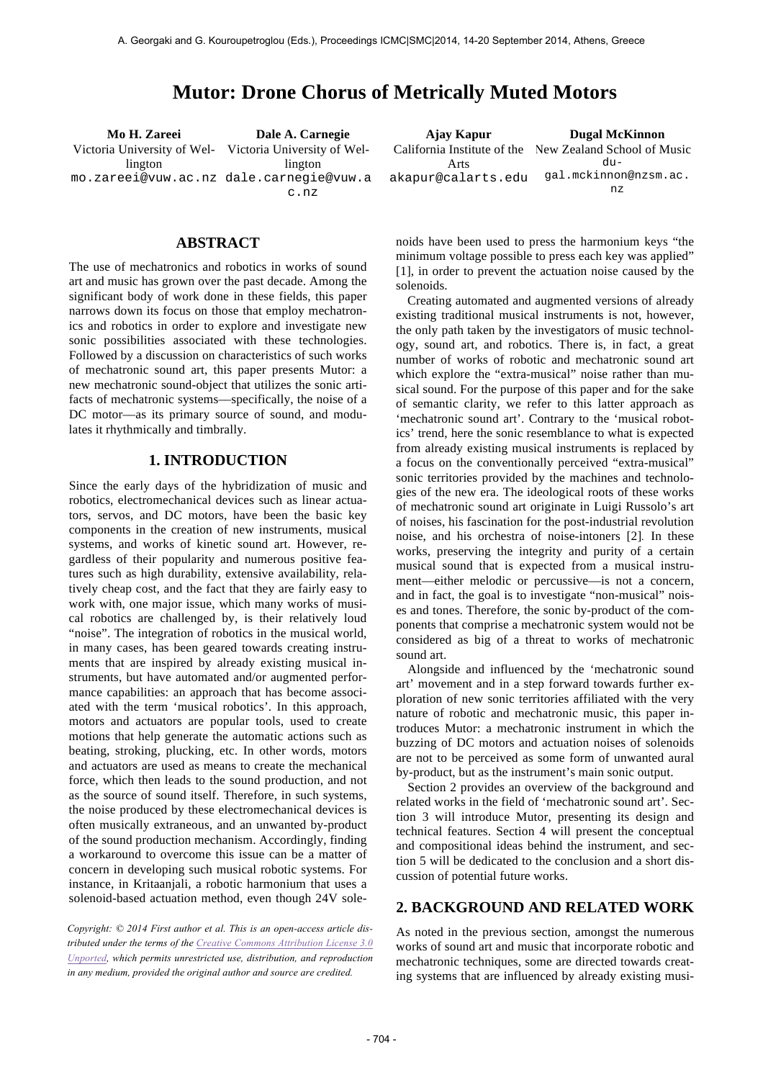# **Mutor: Drone Chorus of Metrically Muted Motors**

**Mo H. Zareei Dale A. Carnegie** Victoria University of Wel-Victoria University of Wellington mo.zareei@vuw.ac.nz dale.carnegie@vuw.a lington c.nz

| Ajay Kapur         | <b>Dugal McKinnon</b>                                   |
|--------------------|---------------------------------------------------------|
|                    | California Institute of the New Zealand School of Music |
| Arts               | $div -$                                                 |
| akapur@calarts.edu | qal.mckinnon@nzsm.ac.                                   |
|                    | n z                                                     |

# **ABSTRACT**

The use of mechatronics and robotics in works of sound art and music has grown over the past decade. Among the significant body of work done in these fields, this paper narrows down its focus on those that employ mechatronics and robotics in order to explore and investigate new sonic possibilities associated with these technologies. Followed by a discussion on characteristics of such works of mechatronic sound art, this paper presents Mutor: a new mechatronic sound-object that utilizes the sonic artifacts of mechatronic systems––specifically, the noise of a DC motor––as its primary source of sound, and modulates it rhythmically and timbrally.

## **1. INTRODUCTION**

Since the early days of the hybridization of music and robotics, electromechanical devices such as linear actuators, servos, and DC motors, have been the basic key components in the creation of new instruments, musical systems, and works of kinetic sound art. However, regardless of their popularity and numerous positive features such as high durability, extensive availability, relatively cheap cost, and the fact that they are fairly easy to work with, one major issue, which many works of musical robotics are challenged by, is their relatively loud "noise". The integration of robotics in the musical world, in many cases, has been geared towards creating instruments that are inspired by already existing musical instruments, but have automated and/or augmented performance capabilities: an approach that has become associated with the term 'musical robotics'. In this approach, motors and actuators are popular tools, used to create motions that help generate the automatic actions such as beating, stroking, plucking, etc. In other words, motors and actuators are used as means to create the mechanical force, which then leads to the sound production, and not as the source of sound itself. Therefore, in such systems, the noise produced by these electromechanical devices is often musically extraneous, and an unwanted by-product of the sound production mechanism. Accordingly, finding a workaround to overcome this issue can be a matter of concern in developing such musical robotic systems. For instance, in Kritaanjali, a robotic harmonium that uses a solenoid-based actuation method, even though 24V sole-

*Copyright: © 2014 First author et al. This is an open-access article distributed under the terms of the Creative Commons Attribution License 3.0 Unported, which permits unrestricted use, distribution, and reproduction in any medium, provided the original author and source are credited.*

noids have been used to press the harmonium keys "the minimum voltage possible to press each key was applied" [1], in order to prevent the actuation noise caused by the solenoids.

Creating automated and augmented versions of already existing traditional musical instruments is not, however, the only path taken by the investigators of music technology, sound art, and robotics. There is, in fact, a great number of works of robotic and mechatronic sound art which explore the "extra-musical" noise rather than musical sound. For the purpose of this paper and for the sake of semantic clarity, we refer to this latter approach as 'mechatronic sound art'. Contrary to the 'musical robotics' trend, here the sonic resemblance to what is expected from already existing musical instruments is replaced by a focus on the conventionally perceived "extra-musical" sonic territories provided by the machines and technologies of the new era. The ideological roots of these works of mechatronic sound art originate in Luigi Russolo's art of noises, his fascination for the post-industrial revolution noise, and his orchestra of noise-intoners [2]*.* In these works, preserving the integrity and purity of a certain musical sound that is expected from a musical instrument––either melodic or percussive––is not a concern, and in fact, the goal is to investigate "non-musical" noises and tones. Therefore, the sonic by-product of the components that comprise a mechatronic system would not be considered as big of a threat to works of mechatronic sound art.

Alongside and influenced by the 'mechatronic sound art' movement and in a step forward towards further exploration of new sonic territories affiliated with the very nature of robotic and mechatronic music, this paper introduces Mutor: a mechatronic instrument in which the buzzing of DC motors and actuation noises of solenoids are not to be perceived as some form of unwanted aural by-product, but as the instrument's main sonic output.

Section 2 provides an overview of the background and related works in the field of 'mechatronic sound art'. Section 3 will introduce Mutor, presenting its design and technical features. Section 4 will present the conceptual and compositional ideas behind the instrument, and section 5 will be dedicated to the conclusion and a short discussion of potential future works.

# **2. BACKGROUND AND RELATED WORK**

As noted in the previous section, amongst the numerous works of sound art and music that incorporate robotic and mechatronic techniques, some are directed towards creating systems that are influenced by already existing musi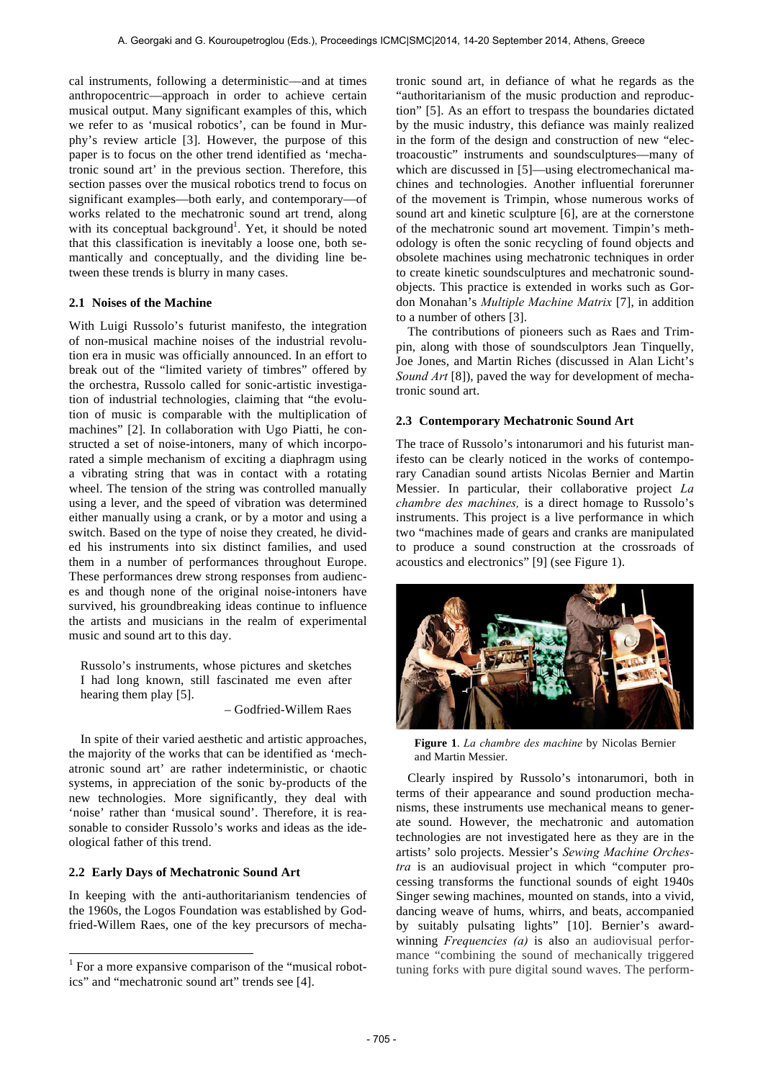cal instruments, following a deterministic––and at times anthropocentric––approach in order to achieve certain musical output. Many significant examples of this, which we refer to as 'musical robotics', can be found in Murphy's review article [3]. However, the purpose of this paper is to focus on the other trend identified as 'mechatronic sound art' in the previous section. Therefore, this section passes over the musical robotics trend to focus on significant examples––both early, and contemporary––of works related to the mechatronic sound art trend, along with its conceptual background<sup>1</sup>. Yet, it should be noted that this classification is inevitably a loose one, both semantically and conceptually, and the dividing line between these trends is blurry in many cases.

# **2.1 Noises of the Machine**

With Luigi Russolo's futurist manifesto, the integration of non-musical machine noises of the industrial revolution era in music was officially announced. In an effort to break out of the "limited variety of timbres" offered by the orchestra, Russolo called for sonic-artistic investigation of industrial technologies, claiming that "the evolution of music is comparable with the multiplication of machines" [2]. In collaboration with Ugo Piatti, he constructed a set of noise-intoners, many of which incorporated a simple mechanism of exciting a diaphragm using a vibrating string that was in contact with a rotating wheel. The tension of the string was controlled manually using a lever, and the speed of vibration was determined either manually using a crank, or by a motor and using a switch. Based on the type of noise they created, he divided his instruments into six distinct families, and used them in a number of performances throughout Europe. These performances drew strong responses from audiences and though none of the original noise-intoners have survived, his groundbreaking ideas continue to influence the artists and musicians in the realm of experimental music and sound art to this day.

Russolo's instruments, whose pictures and sketches I had long known, still fascinated me even after hearing them play [5].

– Godfried-Willem Raes

In spite of their varied aesthetic and artistic approaches, the majority of the works that can be identified as 'mechatronic sound art' are rather indeterministic, or chaotic systems, in appreciation of the sonic by-products of the new technologies. More significantly, they deal with 'noise' rather than 'musical sound'. Therefore, it is reasonable to consider Russolo's works and ideas as the ideological father of this trend.

# **2.2 Early Days of Mechatronic Sound Art**

 $\overline{a}$ 

In keeping with the anti-authoritarianism tendencies of the 1960s, the Logos Foundation was established by Godfried-Willem Raes, one of the key precursors of mechatronic sound art, in defiance of what he regards as the "authoritarianism of the music production and reproduction" [5]. As an effort to trespass the boundaries dictated by the music industry, this defiance was mainly realized in the form of the design and construction of new "electroacoustic" instruments and soundsculptures––many of which are discussed in [5]—using electromechanical machines and technologies. Another influential forerunner of the movement is Trimpin, whose numerous works of sound art and kinetic sculpture [6], are at the cornerstone of the mechatronic sound art movement. Timpin's methodology is often the sonic recycling of found objects and obsolete machines using mechatronic techniques in order to create kinetic soundsculptures and mechatronic soundobjects. This practice is extended in works such as Gordon Monahan's *Multiple Machine Matrix* [7], in addition to a number of others [3].

The contributions of pioneers such as Raes and Trimpin, along with those of soundsculptors Jean Tinquelly, Joe Jones, and Martin Riches (discussed in Alan Licht's *Sound Art* [8]), paved the way for development of mechatronic sound art.

## **2.3 Contemporary Mechatronic Sound Art**

The trace of Russolo's intonarumori and his futurist manifesto can be clearly noticed in the works of contemporary Canadian sound artists Nicolas Bernier and Martin Messier. In particular, their collaborative project *La chambre des machines,* is a direct homage to Russolo's instruments. This project is a live performance in which two "machines made of gears and cranks are manipulated to produce a sound construction at the crossroads of acoustics and electronics" [9] (see Figure 1).



**Figure 1**. *La chambre des machine* by Nicolas Bernier and Martin Messier.

Clearly inspired by Russolo's intonarumori, both in terms of their appearance and sound production mechanisms, these instruments use mechanical means to generate sound. However, the mechatronic and automation technologies are not investigated here as they are in the artists' solo projects. Messier's *Sewing Machine Orchestra* is an audiovisual project in which "computer processing transforms the functional sounds of eight 1940s Singer sewing machines, mounted on stands, into a vivid, dancing weave of hums, whirrs, and beats, accompanied by suitably pulsating lights" [10]. Bernier's awardwinning *Frequencies (a)* is also an audiovisual performance "combining the sound of mechanically triggered tuning forks with pure digital sound waves. The perform-

<sup>&</sup>lt;sup>1</sup> For a more expansive comparison of the "musical robotics" and "mechatronic sound art" trends see [4].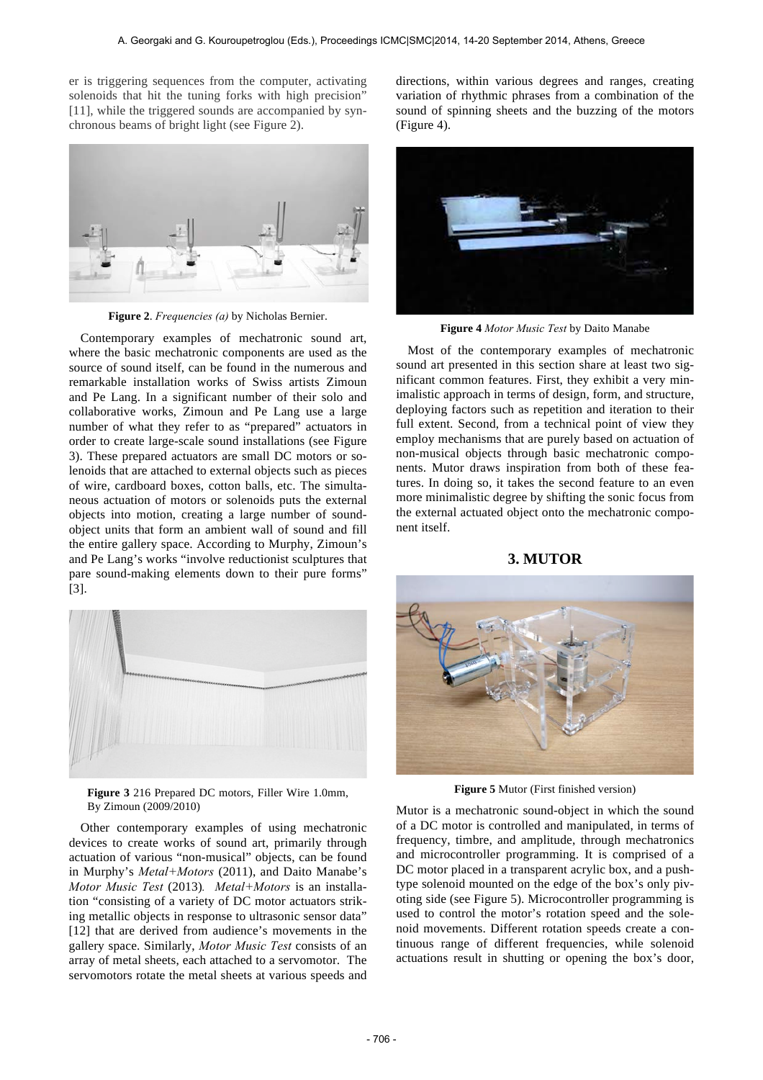er is triggering sequences from the computer, activating solenoids that hit the tuning forks with high precision" [11], while the triggered sounds are accompanied by synchronous beams of bright light (see Figure 2).



**Figure 2**. *Frequencies (a)* by Nicholas Bernier.

Contemporary examples of mechatronic sound art, where the basic mechatronic components are used as the source of sound itself, can be found in the numerous and remarkable installation works of Swiss artists Zimoun and Pe Lang. In a significant number of their solo and collaborative works, Zimoun and Pe Lang use a large number of what they refer to as "prepared" actuators in order to create large-scale sound installations (see Figure 3). These prepared actuators are small DC motors or solenoids that are attached to external objects such as pieces of wire, cardboard boxes, cotton balls, etc. The simultaneous actuation of motors or solenoids puts the external objects into motion, creating a large number of soundobject units that form an ambient wall of sound and fill the entire gallery space. According to Murphy, Zimoun's and Pe Lang's works "involve reductionist sculptures that pare sound-making elements down to their pure forms" [3].



**Figure 3** 216 Prepared DC motors, Filler Wire 1.0mm, By Zimoun (2009/2010)

Other contemporary examples of using mechatronic devices to create works of sound art, primarily through actuation of various "non-musical" objects, can be found in Murphy's *Metal+Motors* (2011), and Daito Manabe's *Motor Music Test* (2013)*. Metal+Motors* is an installation "consisting of a variety of DC motor actuators striking metallic objects in response to ultrasonic sensor data" [12] that are derived from audience's movements in the gallery space. Similarly, *Motor Music Test* consists of an array of metal sheets, each attached to a servomotor. The servomotors rotate the metal sheets at various speeds and directions, within various degrees and ranges, creating variation of rhythmic phrases from a combination of the sound of spinning sheets and the buzzing of the motors (Figure 4).



**Figure 4** *Motor Music Test* by Daito Manabe

Most of the contemporary examples of mechatronic sound art presented in this section share at least two significant common features. First, they exhibit a very minimalistic approach in terms of design, form, and structure, deploying factors such as repetition and iteration to their full extent. Second, from a technical point of view they employ mechanisms that are purely based on actuation of non-musical objects through basic mechatronic components. Mutor draws inspiration from both of these features. In doing so, it takes the second feature to an even more minimalistic degree by shifting the sonic focus from the external actuated object onto the mechatronic component itself.

# **3. MUTOR**



**Figure 5** Mutor (First finished version)

Mutor is a mechatronic sound-object in which the sound of a DC motor is controlled and manipulated, in terms of frequency, timbre, and amplitude, through mechatronics and microcontroller programming. It is comprised of a DC motor placed in a transparent acrylic box, and a pushtype solenoid mounted on the edge of the box's only pivoting side (see Figure 5). Microcontroller programming is used to control the motor's rotation speed and the solenoid movements. Different rotation speeds create a continuous range of different frequencies, while solenoid actuations result in shutting or opening the box's door,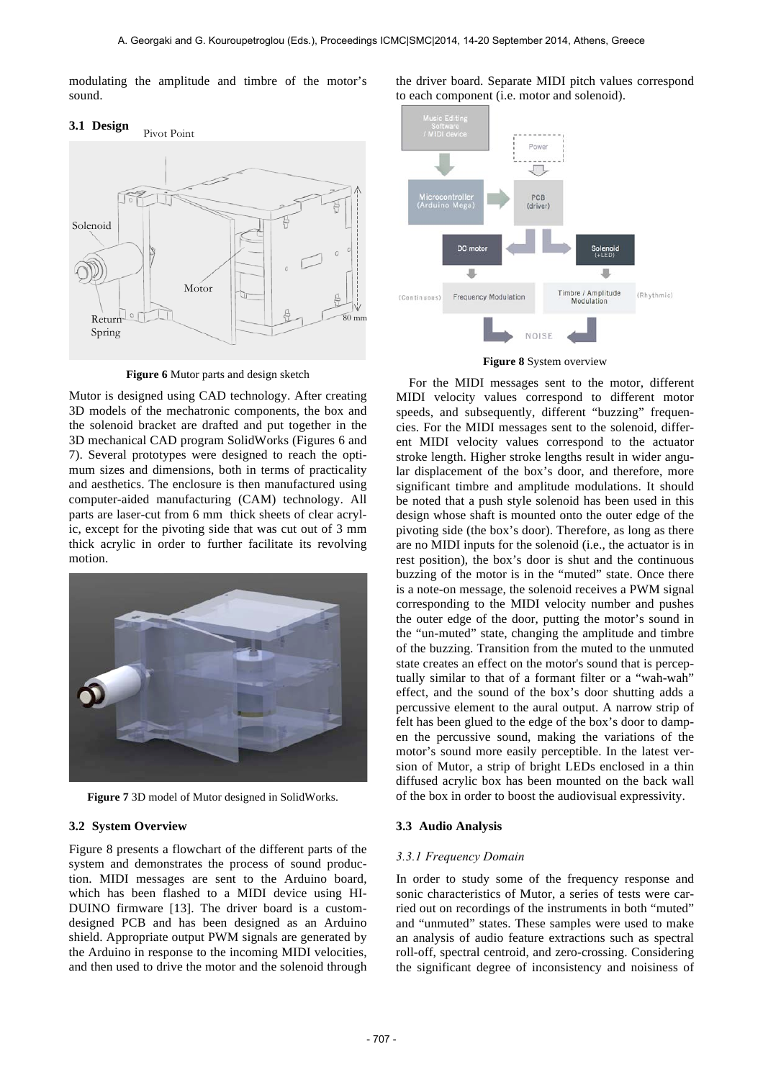modulating the amplitude and timbre of the motor's sound.

# **3.1 Design** Motor Solenoid Return Spring Pivot Point 80 mm

**Figure 6** Mutor parts and design sketch

Mutor is designed using CAD technology. After creating 3D models of the mechatronic components, the box and the solenoid bracket are drafted and put together in the 3D mechanical CAD program SolidWorks (Figures 6 and 7). Several prototypes were designed to reach the optimum sizes and dimensions, both in terms of practicality and aesthetics. The enclosure is then manufactured using computer-aided manufacturing (CAM) technology. All parts are laser-cut from 6 mm thick sheets of clear acrylic, except for the pivoting side that was cut out of 3 mm thick acrylic in order to further facilitate its revolving motion.



**Figure 7** 3D model of Mutor designed in SolidWorks.

#### **3.2 System Overview**

Figure 8 presents a flowchart of the different parts of the system and demonstrates the process of sound production. MIDI messages are sent to the Arduino board, which has been flashed to a MIDI device using HI-DUINO firmware [13]. The driver board is a customdesigned PCB and has been designed as an Arduino shield. Appropriate output PWM signals are generated by the Arduino in response to the incoming MIDI velocities, and then used to drive the motor and the solenoid through the driver board. Separate MIDI pitch values correspond to each component (i.e. motor and solenoid).



**Figure 8** System overview

 For the MIDI messages sent to the motor, different MIDI velocity values correspond to different motor speeds, and subsequently, different "buzzing" frequencies. For the MIDI messages sent to the solenoid, different MIDI velocity values correspond to the actuator stroke length. Higher stroke lengths result in wider angular displacement of the box's door, and therefore, more significant timbre and amplitude modulations. It should be noted that a push style solenoid has been used in this design whose shaft is mounted onto the outer edge of the pivoting side (the box's door). Therefore, as long as there are no MIDI inputs for the solenoid (i.e., the actuator is in rest position), the box's door is shut and the continuous buzzing of the motor is in the "muted" state. Once there is a note-on message, the solenoid receives a PWM signal corresponding to the MIDI velocity number and pushes the outer edge of the door, putting the motor's sound in the "un-muted" state, changing the amplitude and timbre of the buzzing. Transition from the muted to the unmuted state creates an effect on the motor's sound that is perceptually similar to that of a formant filter or a "wah-wah" effect, and the sound of the box's door shutting adds a percussive element to the aural output. A narrow strip of felt has been glued to the edge of the box's door to dampen the percussive sound, making the variations of the motor's sound more easily perceptible. In the latest version of Mutor, a strip of bright LEDs enclosed in a thin diffused acrylic box has been mounted on the back wall of the box in order to boost the audiovisual expressivity.

#### **3.3 Audio Analysis**

#### *3.3.1 Frequency Domain*

In order to study some of the frequency response and sonic characteristics of Mutor, a series of tests were carried out on recordings of the instruments in both "muted" and "unmuted" states. These samples were used to make an analysis of audio feature extractions such as spectral roll-off, spectral centroid, and zero-crossing. Considering the significant degree of inconsistency and noisiness of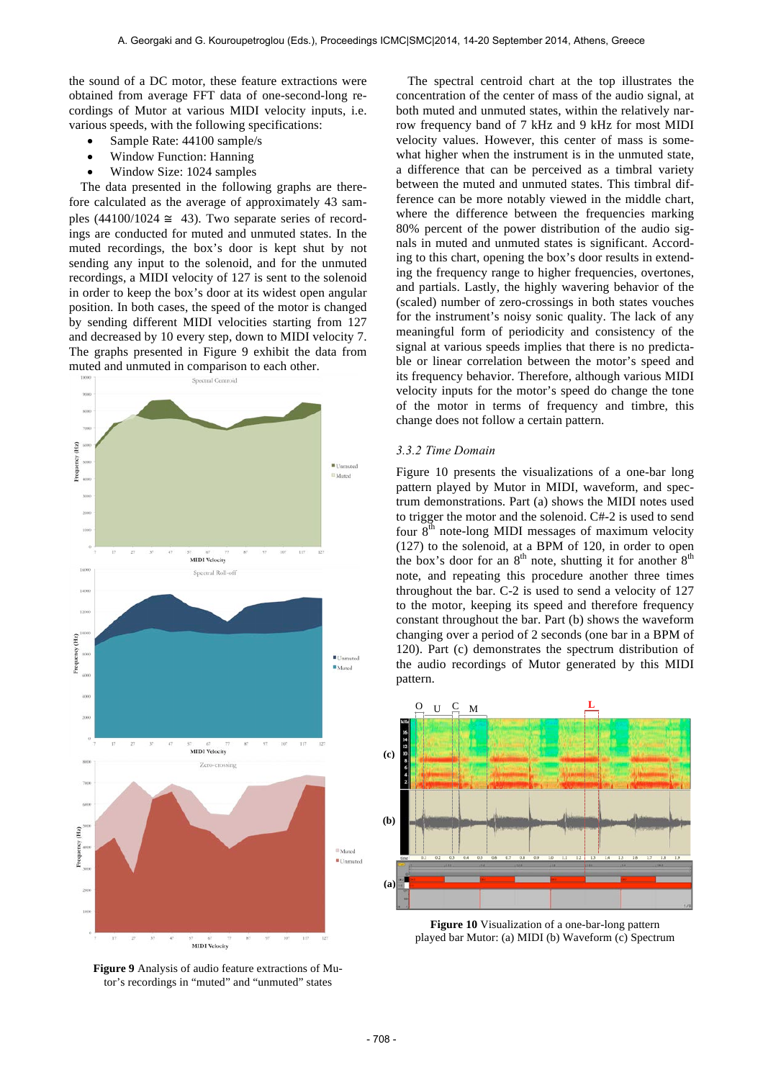the sound of a DC motor, these feature extractions were obtained from average FFT data of one-second-long recordings of Mutor at various MIDI velocity inputs, i.e. various speeds, with the following specifications:

- Sample Rate: 44100 sample/s
- Window Function: Hanning
- Window Size: 1024 samples

The data presented in the following graphs are therefore calculated as the average of approximately 43 samples  $(44100/1024 \approx 43)$ . Two separate series of recordings are conducted for muted and unmuted states. In the muted recordings, the box's door is kept shut by not sending any input to the solenoid, and for the unmuted recordings, a MIDI velocity of 127 is sent to the solenoid in order to keep the box's door at its widest open angular position. In both cases, the speed of the motor is changed by sending different MIDI velocities starting from 127 and decreased by 10 every step, down to MIDI velocity 7. The graphs presented in Figure 9 exhibit the data from muted and unmuted in comparison to each other.



**Figure 9** Analysis of audio feature extractions of Mutor's recordings in "muted" and "unmuted" states

The spectral centroid chart at the top illustrates the concentration of the center of mass of the audio signal, at both muted and unmuted states, within the relatively narrow frequency band of 7 kHz and 9 kHz for most MIDI velocity values. However, this center of mass is somewhat higher when the instrument is in the unmuted state, a difference that can be perceived as a timbral variety between the muted and unmuted states. This timbral difference can be more notably viewed in the middle chart, where the difference between the frequencies marking 80% percent of the power distribution of the audio signals in muted and unmuted states is significant. According to this chart, opening the box's door results in extending the frequency range to higher frequencies, overtones, and partials. Lastly, the highly wavering behavior of the (scaled) number of zero-crossings in both states vouches for the instrument's noisy sonic quality. The lack of any meaningful form of periodicity and consistency of the signal at various speeds implies that there is no predictable or linear correlation between the motor's speed and its frequency behavior. Therefore, although various MIDI velocity inputs for the motor's speed do change the tone of the motor in terms of frequency and timbre, this change does not follow a certain pattern.

#### *3.3.2 Time Domain*

Figure 10 presents the visualizations of a one-bar long pattern played by Mutor in MIDI, waveform, and spectrum demonstrations. Part (a) shows the MIDI notes used to trigger the motor and the solenoid. C#-2 is used to send four  $8<sup>th</sup>$  note-long MIDI messages of maximum velocity (127) to the solenoid, at a BPM of 120, in order to open the box's door for an 8<sup>th</sup> note, shutting it for another 8<sup>th</sup> note, and repeating this procedure another three times throughout the bar. C-2 is used to send a velocity of 127 to the motor, keeping its speed and therefore frequency constant throughout the bar. Part (b) shows the waveform changing over a period of 2 seconds (one bar in a BPM of 120). Part (c) demonstrates the spectrum distribution of the audio recordings of Mutor generated by this MIDI pattern.



**Figure 10** Visualization of a one-bar-long pattern played bar Mutor: (a) MIDI (b) Waveform (c) Spectrum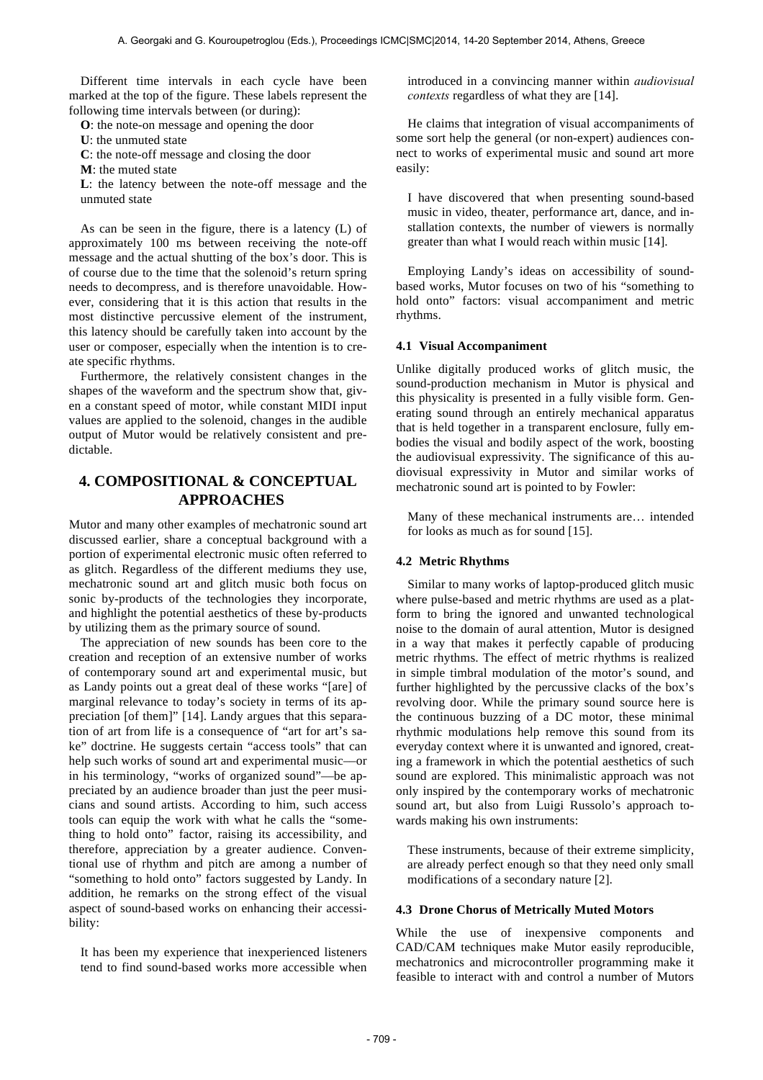Different time intervals in each cycle have been marked at the top of the figure. These labels represent the following time intervals between (or during):

**O**: the note-on message and opening the door

- **U**: the unmuted state
- **C**: the note-off message and closing the door
- **M**: the muted state

**L**: the latency between the note-off message and the unmuted state

As can be seen in the figure, there is a latency (L) of approximately 100 ms between receiving the note-off message and the actual shutting of the box's door. This is of course due to the time that the solenoid's return spring needs to decompress, and is therefore unavoidable. However, considering that it is this action that results in the most distinctive percussive element of the instrument, this latency should be carefully taken into account by the user or composer, especially when the intention is to create specific rhythms.

Furthermore, the relatively consistent changes in the shapes of the waveform and the spectrum show that, given a constant speed of motor, while constant MIDI input values are applied to the solenoid, changes in the audible output of Mutor would be relatively consistent and predictable.

# **4. COMPOSITIONAL & CONCEPTUAL APPROACHES**

Mutor and many other examples of mechatronic sound art discussed earlier, share a conceptual background with a portion of experimental electronic music often referred to as glitch. Regardless of the different mediums they use, mechatronic sound art and glitch music both focus on sonic by-products of the technologies they incorporate, and highlight the potential aesthetics of these by-products by utilizing them as the primary source of sound.

The appreciation of new sounds has been core to the creation and reception of an extensive number of works of contemporary sound art and experimental music, but as Landy points out a great deal of these works "[are] of marginal relevance to today's society in terms of its appreciation [of them]" [14]. Landy argues that this separation of art from life is a consequence of "art for art's sake" doctrine. He suggests certain "access tools" that can help such works of sound art and experimental music––or in his terminology, "works of organized sound"––be appreciated by an audience broader than just the peer musicians and sound artists. According to him, such access tools can equip the work with what he calls the "something to hold onto" factor, raising its accessibility, and therefore, appreciation by a greater audience. Conventional use of rhythm and pitch are among a number of "something to hold onto" factors suggested by Landy. In addition, he remarks on the strong effect of the visual aspect of sound-based works on enhancing their accessibility:

It has been my experience that inexperienced listeners tend to find sound-based works more accessible when introduced in a convincing manner within *audiovisual contexts* regardless of what they are [14].

He claims that integration of visual accompaniments of some sort help the general (or non-expert) audiences connect to works of experimental music and sound art more easily:

I have discovered that when presenting sound-based music in video, theater, performance art, dance, and installation contexts, the number of viewers is normally greater than what I would reach within music [14].

Employing Landy's ideas on accessibility of soundbased works, Mutor focuses on two of his "something to hold onto" factors: visual accompaniment and metric rhythms.

#### **4.1 Visual Accompaniment**

Unlike digitally produced works of glitch music, the sound-production mechanism in Mutor is physical and this physicality is presented in a fully visible form. Generating sound through an entirely mechanical apparatus that is held together in a transparent enclosure, fully embodies the visual and bodily aspect of the work, boosting the audiovisual expressivity. The significance of this audiovisual expressivity in Mutor and similar works of mechatronic sound art is pointed to by Fowler:

Many of these mechanical instruments are… intended for looks as much as for sound [15].

#### **4.2 Metric Rhythms**

Similar to many works of laptop-produced glitch music where pulse-based and metric rhythms are used as a platform to bring the ignored and unwanted technological noise to the domain of aural attention, Mutor is designed in a way that makes it perfectly capable of producing metric rhythms. The effect of metric rhythms is realized in simple timbral modulation of the motor's sound, and further highlighted by the percussive clacks of the box's revolving door. While the primary sound source here is the continuous buzzing of a DC motor, these minimal rhythmic modulations help remove this sound from its everyday context where it is unwanted and ignored, creating a framework in which the potential aesthetics of such sound are explored. This minimalistic approach was not only inspired by the contemporary works of mechatronic sound art, but also from Luigi Russolo's approach towards making his own instruments:

These instruments, because of their extreme simplicity, are already perfect enough so that they need only small modifications of a secondary nature [2].

#### **4.3 Drone Chorus of Metrically Muted Motors**

While the use of inexpensive components and CAD/CAM techniques make Mutor easily reproducible, mechatronics and microcontroller programming make it feasible to interact with and control a number of Mutors